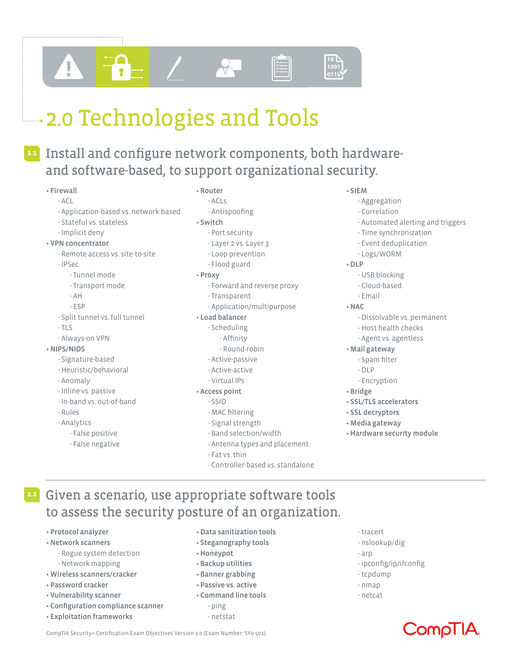# **2.0 Technologies and Tools**

### Install and configure network components, both hardware-**2.1** and software-based, to support organizational security.

#### • Firewall

#### - ACL

- Application-based vs. network-based
- Stateful vs. stateless
- Implicit deny

#### • VPN concentrator

- Remote access vs. site-to-site
- IPSec
	- Tunnel mode
	- Transport mode
	- AH
	- ESP
- Split tunnel vs. full tunnel
- TLS
- Always-on VPN

#### • NIPS/NIDS

- Signature-based
- Heuristic/behavioral
- Anomaly
- Inline vs. passive
- In-band vs. out-of-band
- Rules
- Analytics
	- False positive
	- False negative

### • Router

#### - ACLs - Antispoofing

- Switch
	- Port security
	- Layer 2 vs. Layer 3
	- Loop prevention
	- Flood guard
- Proxy
	- Forward and reverse proxy
	- Transparent
	- Application/multipurpose

#### • Load balancer

- Scheduling
- Affinity
- Round-robin
- Active-passive
- Active-active
- Virtual IPs

#### • Access point

#### - SSID

- MAC filtering
- Signal strength
- Band selection/width
- Antenna types and placement
- Fat vs. thin
- Controller-based vs. standalone

#### • SIEM

- Aggregation
- Correlation
- Automated alerting and triggers
- Time synchronization
- Event deduplication
- Logs/WORM
- DLP
	- USB blocking
	- Cloud-based
	- Email
- NAC
	- Dissolvable vs. permanent
	- Host health checks
	- Agent vs. agentless
- Mail gateway
	- Spam filter
	- DLP
	- Encryption
- Bridge
- SSL/TLS accelerators
- SSL decryptors
- Media gateway
- Hardware security module
- Given a scenario, use appropriate software tools **2.2** to assess the security posture of an organization.

CompTIA Security+ Certification Exam Objectives Version 1.0 (Exam Number: SY0-501)

- Protocol analyzer
- Network scanners
	- Rogue system detection - Network mapping
- Wireless scanners/cracker
- Password cracker
- Vulnerability scanner
- Configuration compliance scanner
- Exploitation frameworks
- Data sanitization tools
- Steganography tools
- Honeypot
- Backup utilities
- Banner grabbing
- Passive vs. active
- Command line tools - ping
	-
	- netstat
- tracert
- nslookup/dig
- arp
- ipconfig/ip/ifconfig

ComplitA

- tcpdump - nmap

- netcat